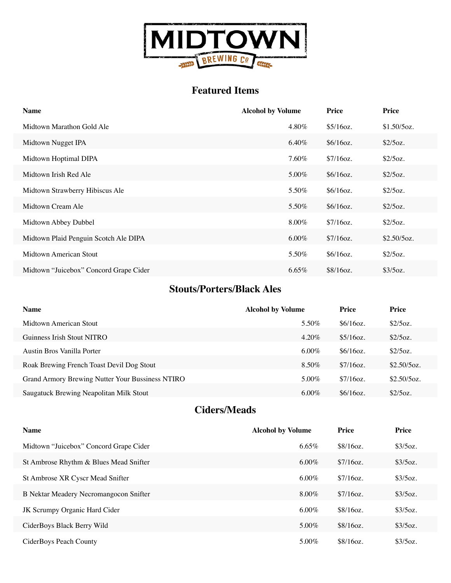

### **Featured Items**

| <b>Name</b>                            | <b>Alcohol by Volume</b> | Price     | Price       |
|----------------------------------------|--------------------------|-----------|-------------|
| Midtown Marathon Gold Ale              | 4.80%                    | \$5/16oz. | \$1.50/5oz. |
| Midtown Nugget IPA                     | $6.40\%$                 | \$6/16oz. | \$2/5oz.    |
| Midtown Hoptimal DIPA                  | 7.60%                    | \$7/16oz. | \$2/5oz.    |
| Midtown Irish Red Ale                  | 5.00%                    | \$6/16oz. | \$2/5oz.    |
| Midtown Strawberry Hibiscus Ale        | 5.50%                    | \$6/16oz. | \$2/5oz.    |
| Midtown Cream Ale                      | 5.50%                    | \$6/16oz. | \$2/5oz.    |
| Midtown Abbey Dubbel                   | $8.00\%$                 | \$7/16oz. | \$2/5oz.    |
| Midtown Plaid Penguin Scotch Ale DIPA  | $6.00\%$                 | \$7/16oz. | \$2.50/5oz. |
| Midtown American Stout                 | 5.50%                    | \$6/16oz. | \$2/5oz.    |
| Midtown "Juicebox" Concord Grape Cider | $6.65\%$                 | \$8/16oz. | \$3/5oz.    |

#### **Stouts/Porters/Black Ales**

| <b>Name</b>                                      | <b>Alcohol by Volume</b> | Price     | Price       |
|--------------------------------------------------|--------------------------|-----------|-------------|
| Midtown American Stout                           | 5.50%                    | \$6/16oz. | \$2/5oz.    |
| Guinness Irish Stout NITRO                       | $4.20\%$                 | \$5/16oz. | \$2/5oz.    |
| Austin Bros Vanilla Porter                       | $6.00\%$                 | \$6/16oz. | \$2/5oz.    |
| Roak Brewing French Toast Devil Dog Stout        | 8.50%                    | \$7/16oz. | \$2.50/5oz. |
| Grand Armory Brewing Nutter Your Bussiness NTIRO | $5.00\%$                 | \$7/16oz. | \$2.50/5oz. |
| Saugatuck Brewing Neapolitan Milk Stout          | $6.00\%$                 | \$6/16oz. | \$2/5oz.    |

#### **Ciders/Meads**

| <b>Name</b>                            | <b>Alcohol by Volume</b> | Price     | Price    |
|----------------------------------------|--------------------------|-----------|----------|
| Midtown "Juicebox" Concord Grape Cider | $6.65\%$                 | \$8/16oz. | \$3/5oz. |
| St Ambrose Rhythm & Blues Mead Snifter | $6.00\%$                 | \$7/16oz. | \$3/5oz. |
| St Ambrose XR Cyscr Mead Snifter       | $6.00\%$                 | \$7/16oz. | \$3/5oz. |
| B Nektar Meadery Necromangocon Snifter | $8.00\%$                 | \$7/16oz. | \$3/5oz. |
| JK Scrumpy Organic Hard Cider          | $6.00\%$                 | \$8/16oz. | \$3/5oz. |
| CiderBoys Black Berry Wild             | 5.00%                    | \$8/16oz. | \$3/5oz. |
| CiderBoys Peach County                 | $5.00\%$                 | \$8/16oz. | \$3/5oz. |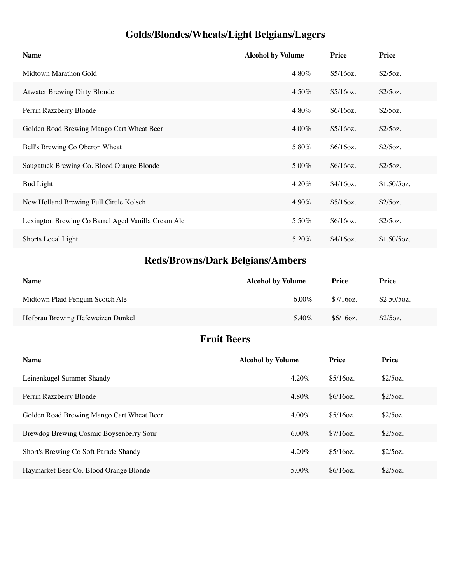# **Golds/Blondes/Wheats/Light Belgians/Lagers**

| <b>Name</b>                                        | <b>Alcohol by Volume</b> | Price     | <b>Price</b>  |
|----------------------------------------------------|--------------------------|-----------|---------------|
| Midtown Marathon Gold                              | 4.80%                    | \$5/16oz. | \$2/5oz.      |
| <b>Atwater Brewing Dirty Blonde</b>                | 4.50%                    | \$5/16oz. | \$2/5oz.      |
| Perrin Razzberry Blonde                            | 4.80%                    | \$6/16oz. | \$2/5oz.      |
| Golden Road Brewing Mango Cart Wheat Beer          | $4.00\%$                 | \$5/16oz. | \$2/5oz.      |
| Bell's Brewing Co Oberon Wheat                     | 5.80%                    | \$6/16oz. | \$2/5oz.      |
| Saugatuck Brewing Co. Blood Orange Blonde          | 5.00%                    | \$6/16oz. | \$2/5oz.      |
| <b>Bud Light</b>                                   | 4.20%                    | \$4/16oz. | $$1.50/5$ oz. |
| New Holland Brewing Full Circle Kolsch             | 4.90%                    | \$5/16oz. | \$2/5oz.      |
| Lexington Brewing Co Barrel Aged Vanilla Cream Ale | 5.50%                    | \$6/16oz. | \$2/5oz.      |
| Shorts Local Light                                 | 5.20%                    | \$4/16oz. | $$1.50/5$ oz. |

# **Reds/Browns/Dark Belgians/Ambers**

| <b>Name</b>                       | <b>Alcohol by Volume</b> | <b>Price</b> | Price       |
|-----------------------------------|--------------------------|--------------|-------------|
| Midtown Plaid Penguin Scotch Ale  | $6.00\%$                 | \$7/16oz.    | \$2.50/5oz. |
| Hofbrau Brewing Hefeweizen Dunkel | 5.40%                    | \$6/16oz.    | \$2/5oz.    |

### **Fruit Beers**

| <b>Name</b>                               | <b>Alcohol by Volume</b> | Price     | <b>Price</b> |
|-------------------------------------------|--------------------------|-----------|--------------|
| Leinenkugel Summer Shandy                 | $4.20\%$                 | \$5/16oz. | \$2/5oz.     |
| Perrin Razzberry Blonde                   | 4.80%                    | \$6/16oz. | \$2/5oz.     |
| Golden Road Brewing Mango Cart Wheat Beer | $4.00\%$                 | \$5/16oz. | \$2/5oz.     |
| Brewdog Brewing Cosmic Boysenberry Sour   | $6.00\%$                 | \$7/16oz. | \$2/5oz.     |
| Short's Brewing Co Soft Parade Shandy     | $4.20\%$                 | \$5/16oz. | \$2/5oz.     |
| Haymarket Beer Co. Blood Orange Blonde    | $5.00\%$                 | \$6/16oz. | \$2/5oz.     |